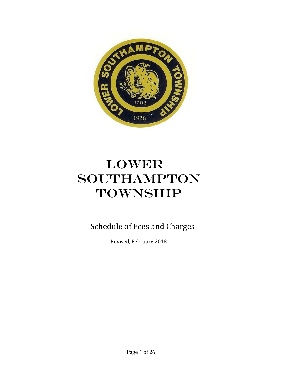

# LOWER SOUTHAMPTON TOWNSHIP

Schedule of Fees and Charges

Revised, February 2018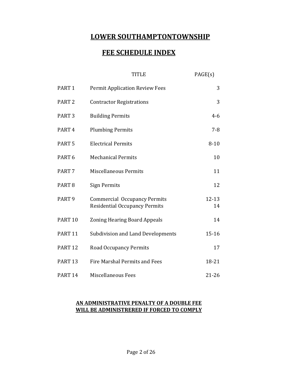# **LOWER SOUTHAMPTONTOWNSHIP**

# **FEE SCHEDULE INDEX**

|                    | TITLE                                                                       | PAGE(s)     |
|--------------------|-----------------------------------------------------------------------------|-------------|
| PART <sub>1</sub>  | <b>Permit Application Review Fees</b>                                       | 3           |
| PART <sub>2</sub>  | <b>Contractor Registrations</b>                                             | 3           |
| PART <sub>3</sub>  | <b>Building Permits</b>                                                     | $4 - 6$     |
| PART <sub>4</sub>  | <b>Plumbing Permits</b>                                                     | $7 - 8$     |
| PART <sub>5</sub>  | <b>Electrical Permits</b>                                                   | $8 - 10$    |
| PART <sub>6</sub>  | <b>Mechanical Permits</b>                                                   | 10          |
| PART <sub>7</sub>  | <b>Miscellaneous Permits</b>                                                | 11          |
| PART <sub>8</sub>  | <b>Sign Permits</b>                                                         | 12          |
| PART <sub>9</sub>  | <b>Commercial Occupancy Permits</b><br><b>Residential Occupancy Permits</b> | 12-13<br>14 |
| PART <sub>10</sub> | <b>Zoning Hearing Board Appeals</b>                                         | 14          |
| PART <sub>11</sub> | <b>Subdivision and Land Developments</b>                                    | $15 - 16$   |
| <b>PART 12</b>     | <b>Road Occupancy Permits</b>                                               | 17          |
| PART <sub>13</sub> | <b>Fire Marshal Permits and Fees</b>                                        | 18-21       |
| PART <sub>14</sub> | <b>Miscellaneous Fees</b>                                                   | 21-26       |

#### **AN ADMINISTRATIVE PENALTY OF A DOUBLE FEE WILL BE ADMINISTRERED IF FORCED TO COMPLY**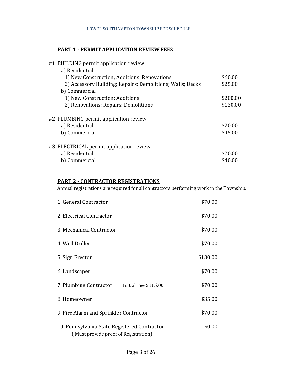#### **PART 1 - PERMIT APPLICATION REVIEW FEES**

| #1 BUILDING permit application review                     |          |
|-----------------------------------------------------------|----------|
| a) Residential                                            |          |
| 1) New Construction; Additions; Renovations               | \$60.00  |
| 2) Accessory Building; Repairs; Demolitions; Walls; Decks | \$25.00  |
| b) Commercial                                             |          |
| 1) New Construction; Additions                            | \$200.00 |
| 2) Renovations; Repairs: Demolitions                      | \$130.00 |
|                                                           |          |
| #2 PLUMBING permit application review                     |          |
| a) Residential                                            | \$20.00  |
| b) Commercial                                             | \$45.00  |
|                                                           |          |
| #3 ELECTRICAL permit application review                   |          |
| a) Residential                                            | \$20.00  |
| b) Commercial                                             | \$40.00  |
|                                                           |          |

## **PART 2 - CONTRACTOR REGISTRATIONS**

Annual registrations are required for all contractors performing work in the Township.

| 1. General Contractor                                                                | \$70.00  |
|--------------------------------------------------------------------------------------|----------|
| 2. Electrical Contractor                                                             | \$70.00  |
| 3. Mechanical Contractor                                                             | \$70.00  |
| 4. Well Drillers                                                                     | \$70.00  |
| 5. Sign Erector                                                                      | \$130.00 |
| 6. Landscaper                                                                        | \$70.00  |
| 7. Plumbing Contractor<br>Initial Fee \$115.00                                       | \$70.00  |
| 8. Homeowner                                                                         | \$35.00  |
| 9. Fire Alarm and Sprinkler Contractor                                               | \$70.00  |
| 10. Pennsylvania State Registered Contractor<br>(Must provide proof of Registration) | \$0.00   |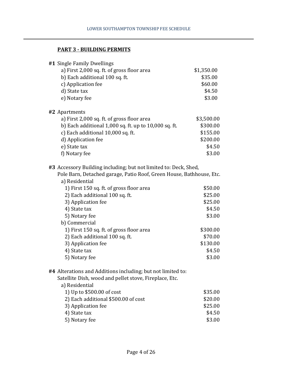# **PART 3 - BUILDING PERMITS**

| #1 Single Family Dwellings                                           |            |
|----------------------------------------------------------------------|------------|
| a) First 2,000 sq. ft. of gross floor area                           | \$1,350.00 |
| b) Each additional 100 sq. ft.                                       | \$35.00    |
| c) Application fee                                                   | \$60.00    |
| d) State tax                                                         | \$4.50     |
| e) Notary fee                                                        | \$3.00     |
| #2 Apartments                                                        |            |
| a) First 2,000 sq. ft. of gross floor area                           | \$3,500.00 |
| b) Each additional $1,000$ sq. ft. up to $10,000$ sq. ft.            | \$300.00   |
| c) Each additional 10,000 sq. ft.                                    | \$155.00   |
| d) Application fee                                                   | \$200.00   |
| e) State tax                                                         | \$4.50     |
| f) Notary fee                                                        | \$3.00     |
| #3 Accessory Building including; but not limited to: Deck, Shed,     |            |
| Pole Barn, Detached garage, Patio Roof, Green House, Bathhouse, Etc. |            |
| a) Residential                                                       |            |
| 1) First 150 sq. ft. of gross floor area                             | \$50.00    |
| 2) Each additional 100 sq. ft.                                       | \$25.00    |
| 3) Application fee                                                   | \$25.00    |
| 4) State tax                                                         | \$4.50     |
| 5) Notary fee                                                        | \$3.00     |
| b) Commercial                                                        |            |
| 1) First 150 sq. ft. of gross floor area                             | \$300.00   |
| 2) Each additional 100 sq. ft.                                       | \$70.00    |
| 3) Application fee                                                   | \$130.00   |
| 4) State tax                                                         | \$4.50     |
| 5) Notary fee                                                        | \$3.00     |
| #4 Alterations and Additions including; but not limited to:          |            |
| Satellite Dish, wood and pellet stove, Fireplace, Etc.               |            |
| a) Residential                                                       |            |
| 1) Up to \$500.00 of cost                                            | \$35.00    |
| 2) Each additional \$500.00 of cost                                  | \$20.00    |
| 3) Application fee                                                   | \$25.00    |
| 4) State tax                                                         | \$4.50     |
|                                                                      |            |

5) Notary fee \$3.00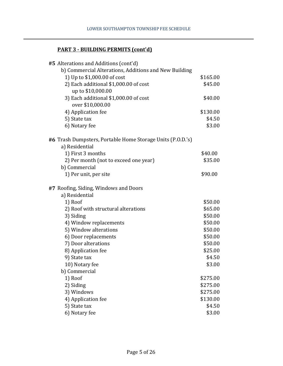# **PART 3 - BUILDING PERMITS (cont'd)**

| #5 Alterations and Additions (cont'd)                      |          |
|------------------------------------------------------------|----------|
| b) Commercial Alterations, Additions and New Building      |          |
| 1) Up to \$1,000.00 of cost                                | \$165.00 |
| 2) Each additional \$1,000.00 of cost                      | \$45.00  |
| up to \$10,000.00                                          |          |
| 3) Each additional \$1,000.00 of cost                      | \$40.00  |
| over \$10,000.00                                           |          |
| 4) Application fee                                         | \$130.00 |
| 5) State tax                                               | \$4.50   |
| 6) Notary fee                                              | \$3.00   |
| #6 Trash Dumpsters, Portable Home Storage Units (P.O.D.'s) |          |
| a) Residential                                             |          |
| 1) First 3 months                                          | \$40.00  |
| 2) Per month (not to exceed one year)                      | \$35.00  |
| b) Commercial                                              |          |
| 1) Per unit, per site                                      | \$90.00  |
| #7 Roofing, Siding, Windows and Doors                      |          |
| a) Residential                                             |          |
| 1) Roof                                                    | \$50.00  |
| 2) Roof with structural alterations                        | \$65.00  |
| 3) Siding                                                  | \$50.00  |
| 4) Window replacements                                     | \$50.00  |
| 5) Window alterations                                      | \$50.00  |
| 6) Door replacements                                       | \$50.00  |
| 7) Door alterations                                        | \$50.00  |
| 8) Application fee                                         | \$25.00  |
| 9) State tax                                               | \$4.50   |
| 10) Notary fee                                             | \$3.00   |
| b) Commercial                                              |          |
| 1) Roof                                                    | \$275.00 |
| 2) Siding                                                  | \$275.00 |
| 3) Windows                                                 | \$275.00 |
| 4) Application fee                                         | \$130.00 |
| 5) State tax                                               | \$4.50   |
| 6) Notary fee                                              | \$3.00   |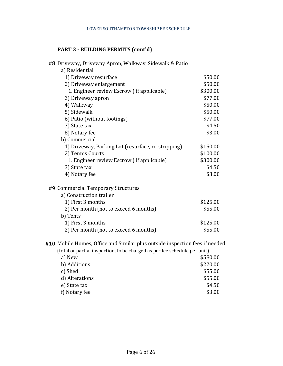# **PART 3 - BUILDING PERMITS (cont'd)**

| #8 Driveway, Driveway Apron, Walkway, Sidewalk & Patio                      |          |
|-----------------------------------------------------------------------------|----------|
| a) Residential                                                              |          |
| 1) Driveway resurface                                                       | \$50.00  |
| 2) Driveway enlargement                                                     | \$50.00  |
| 1. Engineer review Escrow (if applicable)                                   | \$300.00 |
| 3) Driveway apron                                                           | \$77.00  |
| 4) Walkway                                                                  | \$50.00  |
| 5) Sidewalk                                                                 | \$50.00  |
| 6) Patio (without footings)                                                 | \$77.00  |
| 7) State tax                                                                | \$4.50   |
| 8) Notary fee                                                               | \$3.00   |
| b) Commercial                                                               |          |
| 1) Driveway, Parking Lot (resurface, re-stripping)                          | \$150.00 |
| 2) Tennis Courts                                                            | \$100.00 |
| 1. Engineer review Escrow (if applicable)                                   | \$300.00 |
| 3) State tax                                                                | \$4.50   |
| 4) Notary fee                                                               | \$3.00   |
| #9 Commercial Temporary Structures                                          |          |
| a) Construction trailer                                                     |          |
| 1) First 3 months                                                           | \$125.00 |
| 2) Per month (not to exceed 6 months)                                       | \$55.00  |
| b) Tents                                                                    |          |
| 1) First 3 months                                                           | \$125.00 |
| 2) Per month (not to exceed 6 months)                                       | \$55.00  |
| #10 Mobile Homes, Office and Similar plus outside inspection fees if needed |          |
| (total or partial inspection, to be charged as per fee schedule per unit)   |          |
| a) New                                                                      | \$580.00 |
| b) Additions                                                                | \$220.00 |
| c) Shed                                                                     | \$55.00  |
| d) Alterations                                                              | \$55.00  |
| e) State tax                                                                | \$4.50   |
| f) Notary fee                                                               | \$3.00   |
|                                                                             |          |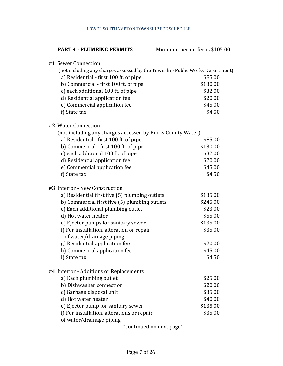| <b>PART 4 - PLUMBING PERMITS</b>                                             | Minimum permit fee is \$105.00 |  |
|------------------------------------------------------------------------------|--------------------------------|--|
| #1 Sewer Connection                                                          |                                |  |
| (not including any charges assessed by the Township Public Works Department) |                                |  |
| a) Residential - first 100 ft. of pipe                                       | \$85.00                        |  |
| b) Commercial - first 100 ft. of pipe                                        | \$130.00                       |  |
| c) each additional 100 ft. of pipe                                           | \$32.00                        |  |
| d) Residential application fee                                               | \$20.00                        |  |
| e) Commercial application fee                                                | \$45.00                        |  |
| f) State tax                                                                 | \$4.50                         |  |
| #2 Water Connection                                                          |                                |  |
| (not including any charges accessed by Bucks County Water)                   |                                |  |
| a) Residential - first 100 ft. of pipe                                       | \$85.00                        |  |
| b) Commercial - first 100 ft. of pipe                                        | \$130.00                       |  |
| c) each additional 100 ft. of pipe                                           | \$32.00                        |  |
| d) Residential application fee                                               | \$20.00                        |  |
| e) Commercial application fee                                                | \$45.00                        |  |
| f) State tax                                                                 | \$4.50                         |  |
| #3 Interior - New Construction                                               |                                |  |
| a) Residential first five (5) plumbing outlets                               | \$135.00                       |  |
| b) Commercial first five (5) plumbing outlets                                | \$245.00                       |  |
| c) Each additional plumbing outlet                                           | \$23.00                        |  |
| d) Hot water heater                                                          | \$55.00                        |  |
| e) Ejector pumps for sanitary sewer                                          | \$135.00                       |  |
| f) For installation, alteration or repair<br>of water/drainage piping        | \$35.00                        |  |
| g) Residential application fee                                               | \$20.00                        |  |
| h) Commercial application fee                                                | \$45.00                        |  |
| i) State tax                                                                 | \$4.50                         |  |
| #4 Interior - Additions or Replacements                                      |                                |  |
| a) Each plumbing outlet                                                      | \$25.00                        |  |
| b) Dishwasher connection                                                     | \$20.00                        |  |
| c) Garbage disposal unit                                                     | \$35.00                        |  |
| d) Hot water heater                                                          | \$40.00                        |  |
| e) Ejector pump for sanitary sewer                                           | \$135.00                       |  |
| f) For installation, alterations or repair                                   | \$35.00                        |  |
| of water/drainage piping                                                     |                                |  |

\*continued on next page\*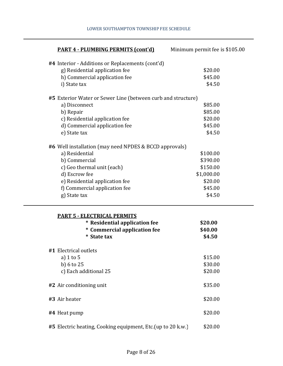| <b>PART 4 - PLUMBING PERMITS (cont'd)</b>                                                                          | Minimum permit fee is \$105.00 |
|--------------------------------------------------------------------------------------------------------------------|--------------------------------|
| #4 Interior - Additions or Replacements (cont'd)                                                                   |                                |
| g) Residential application fee                                                                                     | \$20.00                        |
| h) Commercial application fee                                                                                      | \$45.00                        |
| i) State tax                                                                                                       | \$4.50                         |
| #5 Exterior Water or Sewer Line (between curb and structure)                                                       |                                |
| a) Disconnect                                                                                                      | \$85.00                        |
| b) Repair                                                                                                          | \$85.00                        |
| c) Residential application fee                                                                                     | \$20.00                        |
| d) Commercial application fee                                                                                      | \$45.00                        |
| e) State tax                                                                                                       | \$4.50                         |
| #6 Well installation (may need NPDES & BCCD approvals)                                                             |                                |
| a) Residential                                                                                                     | \$100.00                       |
| b) Commercial                                                                                                      | \$390.00                       |
| c) Geo thermal unit (each)                                                                                         | \$150.00                       |
| d) Escrow fee                                                                                                      | \$1,000.00                     |
| e) Residential application fee                                                                                     | \$20.00                        |
| f) Commercial application fee                                                                                      | \$45.00                        |
| g) State tax                                                                                                       | \$4.50                         |
| <b>PART 5 - ELECTRICAL PERMITS</b><br>* Residential application fee<br>* Commercial application fee<br>* State tax | \$20.00<br>\$40.00<br>\$4.50   |
| #1 Electrical outlets                                                                                              |                                |
| a) $1$ to $5$                                                                                                      | \$15.00                        |
| b) $6$ to $25$                                                                                                     | \$30.00                        |
| c) Each additional 25                                                                                              | \$20.00                        |
| #2 Air conditioning unit                                                                                           | \$35.00                        |
| #3 Air heater                                                                                                      | \$20.00                        |
| #4 Heat pump                                                                                                       | \$20.00                        |
| #5 Electric heating, Cooking equipment, Etc. (up to 20 k.w.)                                                       | \$20.00                        |

#### LOWER SOUTHAMPTON TOWNSHIP FEE SCHEDULE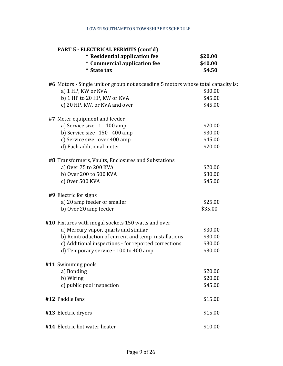| <b>PART 5 - ELECTRICAL PERMITS (cont'd)</b>                                      |                    |
|----------------------------------------------------------------------------------|--------------------|
| * Residential application fee<br>* Commercial application fee                    | \$20.00<br>\$40.00 |
| * State tax                                                                      | \$4.50             |
| #6 Motors - Single unit or group not exceeding 5 motors whose total capacity is: |                    |
| a) 1 HP, KW or KVA                                                               | \$30.00            |
| b) 1 HP to 20 HP, KW or KVA                                                      | \$45.00            |
| c) 20 HP, KW, or KVA and over                                                    | \$45.00            |
| #7 Meter equipment and feeder                                                    |                    |
| a) Service size 1 - 100 amp                                                      | \$20.00            |
| b) Service size $150 - 400$ amp                                                  | \$30.00            |
| c) Service size over 400 amp                                                     | \$45.00            |
| d) Each additional meter                                                         | \$20.00            |
| #8 Transformers, Vaults, Enclosures and Substations                              |                    |
| a) Over 75 to 200 KVA                                                            | \$20.00            |
| b) Over 200 to 500 KVA                                                           | \$30.00            |
| c) Over 500 KVA                                                                  | \$45.00            |
| #9 Electric for signs                                                            |                    |
| a) 20 amp feeder or smaller                                                      | \$25.00            |
| b) Over 20 amp feeder                                                            | \$35.00            |
| #10 Fixtures with mogul sockets 150 watts and over                               |                    |
| a) Mercury vapor, quarts and similar                                             | \$30.00            |
| b) Reintroduction of current and temp. installations                             | \$30.00            |
| c) Additional inspections - for reported corrections                             | \$30.00            |
| d) Temporary service - 100 to 400 amp                                            | \$30.00            |
| #11 Swimming pools                                                               |                    |
| a) Bonding                                                                       | \$20.00            |
| b) Wiring                                                                        | \$20.00            |
| c) public pool inspection                                                        | \$45.00            |
| #12 Paddle fans                                                                  | \$15.00            |
| #13 Electric dryers                                                              | \$15.00            |
| #14 Electric hot water heater                                                    | \$10.00            |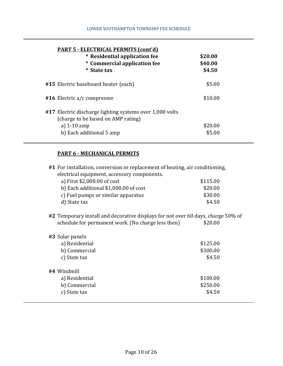| <b>PART 5 - ELECTRICAL PERMITS (cont'd)</b><br>* Residential application fee<br>* Commercial application fee<br><b>State tax</b><br>∗       | \$20.00<br>\$40.00<br>\$4.50 |
|---------------------------------------------------------------------------------------------------------------------------------------------|------------------------------|
| #15 Electric baseboard heater (each)                                                                                                        | \$5.00                       |
| $#16$ Electric a/c compressor                                                                                                               | \$10.00                      |
| #17 Electric discharge lighting systems over 1,000 volts<br>(charge to be based on AMP rating)<br>a) $1-10$ amp<br>b) Each additional 5 amp | \$20.00<br>\$5.00            |

# **PART 6 - MECHANICAL PERMITS**

| #1 For installation, conversion or replacement of heating, air conditioning,     |          |  |
|----------------------------------------------------------------------------------|----------|--|
| electrical equipment, accessory components.                                      |          |  |
| a) First \$2,000.00 of cost                                                      | \$115.00 |  |
| b) Each additional \$1,000.00 of cost                                            | \$20.00  |  |
| c) Fuel pumps or similar apparatus                                               | \$30.00  |  |
| d) State tax                                                                     | \$4.50   |  |
| #2 Temporary install and decorative displays for not over 60 days, charge 50% of |          |  |
| schedule for permanent work. (No charge less then)                               | \$20.00  |  |
| #3 Solar panels                                                                  |          |  |
| a) Residential                                                                   | \$125.00 |  |
| b) Commercial                                                                    | \$300.00 |  |
| c) State tax                                                                     | \$4.50   |  |
| #4 Windmill                                                                      |          |  |
| a) Residential                                                                   | \$100.00 |  |
| b) Commercial                                                                    | \$250.00 |  |
| c) State tax                                                                     | \$4.50   |  |
|                                                                                  |          |  |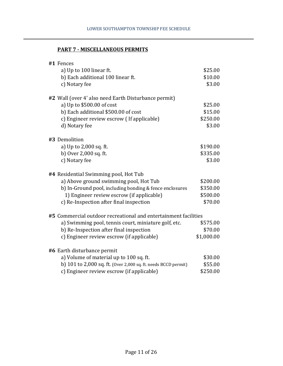#### **PART 7 - MISCELLANEOUS PERMITS**

| #1 Fences                                                       |            |
|-----------------------------------------------------------------|------------|
| a) Up to 100 linear ft.                                         | \$25.00    |
| b) Each additional 100 linear ft.                               | \$10.00    |
| c) Notary fee                                                   | \$3.00     |
| #2 Wall (over 4' also need Earth Disturbance permit)            |            |
| a) Up to $$500.00$ of cost                                      | \$25.00    |
| b) Each additional \$500.00 of cost                             | \$15.00    |
| c) Engineer review escrow (If applicable)                       | \$250.00   |
| d) Notary fee                                                   | \$3.00     |
|                                                                 |            |
| #3 Demolition                                                   |            |
| a) Up to 2,000 sq. ft.                                          | \$190.00   |
| b) Over 2,000 sq. ft.                                           | \$335.00   |
| c) Notary fee                                                   | \$3.00     |
| #4 Residential Swimming pool, Hot Tub                           |            |
| a) Above ground swimming pool, Hot Tub                          | \$200.00   |
| b) In-Ground pool, including bonding & fence enclosures         | \$350.00   |
| 1) Engineer review escrow (if applicable)                       | \$500.00   |
| c) Re-Inspection after final inspection                         | \$70.00    |
| #5 Commercial outdoor recreational and entertainment facilities |            |
| a) Swimming pool, tennis court, miniature golf, etc.            | \$575.00   |
| b) Re-Inspection after final inspection                         | \$70.00    |
| c) Engineer review escrow (if applicable)                       | \$1,000.00 |
| #6 Earth disturbance permit                                     |            |
| a) Volume of material up to 100 sq. ft.                         | \$30.00    |
| b) 101 to 2,000 sq. ft. (Over 2,000 sq. ft. needs BCCD permit)  | \$55.00    |
| c) Engineer review escrow (if applicable)                       | \$250.00   |
|                                                                 |            |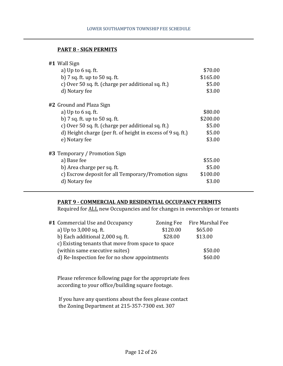#### **PART 8 - SIGN PERMITS**

| #1 Wall Sign                                                |          |
|-------------------------------------------------------------|----------|
| a) Up to $6$ sq. ft.                                        | \$70.00  |
| b) 7 sq. ft. up to 50 sq. ft.                               | \$165.00 |
| c) Over 50 sq. ft. (charge per additional sq. ft.)          | \$5.00   |
| d) Notary fee                                               | \$3.00   |
| #2 Ground and Plaza Sign                                    |          |
| a) Up to $6$ sq. ft.                                        | \$80.00  |
| b) 7 sq. ft. up to 50 sq. ft.                               | \$200.00 |
| c) Over 50 sq. ft. (charge per additional sq. ft.)          | \$5.00   |
| d) Height charge (per ft. of height in excess of 9 sq. ft.) | \$5.00   |
| e) Notary fee                                               | \$3.00   |
| #3 Temporary / Promotion Sign                               |          |
| a) Base fee                                                 | \$55.00  |
| b) Area charge per sq. ft.                                  | \$5.00   |
| c) Escrow deposit for all Temporary/Promotion signs         | \$100.00 |
| d) Notary fee                                               | \$3.00   |

#### **PART 9 - COMMERCIAL AND RESIDENTIAL OCCUPANCY PERMITS**

Required for ALL new Occupancies and for changes in ownerships or tenants

| #1 Commercial Use and Occupancy                   | Zoning Fee | Fire Marshal Fee |
|---------------------------------------------------|------------|------------------|
| a) Up to 3,000 sq. ft.                            | \$120.00   | \$65.00          |
| b) Each additional 2,000 sq. ft.                  | \$28.00    | \$13.00          |
| c) Existing tenants that move from space to space |            |                  |
| (within same executive suites)                    |            | \$50.00          |
| d) Re-Inspection fee for no show appointments     |            | \$60.00          |
|                                                   |            |                  |

Please reference following page for the appropriate fees according to your office/building square footage.

 If you have any questions about the fees please contact the Zoning Department at 215-357-7300 ext. 307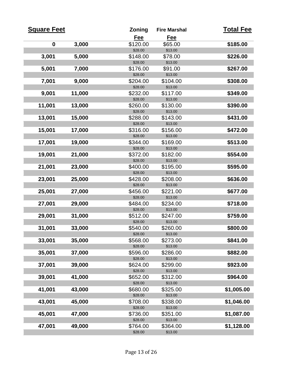| <b>Square Feet</b> |        | <b>Zoning</b>       | <b>Fire Marshal</b> | <b>Total Fee</b> |
|--------------------|--------|---------------------|---------------------|------------------|
|                    |        | Fee                 | Fee                 |                  |
| $\mathbf 0$        | 3,000  | \$120.00            | \$65.00             | \$185.00         |
|                    |        | \$28.00             | \$13.00             |                  |
| 3,001              | 5,000  | \$148.00            | \$78.00             | \$226.00         |
|                    |        | \$28.00             | \$13.00             |                  |
| 5,001              | 7,000  | \$176.00            | \$91.00             | \$267.00         |
|                    |        | \$28.00             | \$13.00             |                  |
| 7,001              | 9,000  | \$204.00            | \$104.00            | \$308.00         |
|                    |        | \$28.00             | \$13.00             |                  |
| 9,001              | 11,000 | \$232.00<br>\$28.00 | \$117.00<br>\$13.00 | \$349.00         |
| 11,001             | 13,000 | \$260.00            | \$130.00            | \$390.00         |
|                    |        | \$28.00             | \$13.00             |                  |
| 13,001             | 15,000 | \$288.00            | \$143.00            | \$431.00         |
|                    |        | \$28.00             | \$13.00             |                  |
| 15,001             | 17,000 | \$316.00            | \$156.00            | \$472.00         |
|                    |        | \$28.00             | \$13.00             |                  |
| 17,001             | 19,000 | \$344.00            | \$169.00            | \$513.00         |
|                    |        | \$28.00             | \$13.00             |                  |
| 19,001             | 21,000 | \$372.00            | \$182.00            | \$554.00         |
|                    |        | \$28.00             | \$13.00             |                  |
| 21,001             | 23,000 | \$400.00            | \$195.00            | \$595.00         |
|                    |        | \$28.00             | \$13.00             |                  |
| 23,001             | 25,000 | \$428.00            | \$208.00            | \$636.00         |
|                    |        | \$28.00             | \$13.00             |                  |
| 25,001             | 27,000 | \$456.00            | \$221.00            | \$677.00         |
|                    |        | \$28.00             | \$13.00             |                  |
| 27,001             | 29,000 | \$484.00<br>\$28.00 | \$234.00<br>\$13.00 | \$718.00         |
| 29,001             | 31,000 | \$512.00            | \$247.00            | \$759.00         |
|                    |        | \$28.00             | \$13.00             |                  |
| 31,001             | 33,000 | \$540.00            | \$260.00            | \$800.00         |
|                    |        | \$28.00             | \$13.00             |                  |
| 33,001             | 35,000 | \$568.00            | \$273.00            | \$841.00         |
|                    |        | \$28.00             | \$13.00             |                  |
| 35,001             | 37,000 | \$596.00            | \$286.00            | \$882.00         |
|                    |        | \$28.00             | \$13.00             |                  |
| 37,001             | 39,000 | \$624.00            | \$299.00            | \$923.00         |
|                    |        | \$28.00             | \$13.00             |                  |
| 39,001             | 41,000 | \$652.00            | \$312.00            | \$964.00         |
|                    |        | \$28.00             | \$13.00             |                  |
| 41,001             | 43,000 | \$680.00            | \$325.00            | \$1,005.00       |
|                    |        | \$28.00             | \$13.00             |                  |
| 43,001             | 45,000 | \$708.00<br>\$28.00 | \$338.00<br>\$13.00 | \$1,046.00       |
| 45,001             |        |                     | \$351.00            | \$1,087.00       |
|                    | 47,000 | \$736.00<br>\$28.00 | \$13.00             |                  |
| 47,001             | 49,000 | \$764.00            | \$364.00            | \$1,128.00       |
|                    |        | \$28.00             | \$13.00             |                  |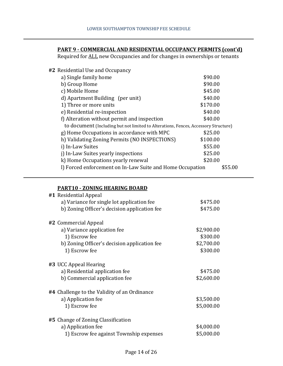#### **PART 9 - COMMERCIAL AND RESIDENTIAL OCCUPANCY PERMITS (cont'd)**

Required for ALL new Occupancies and for changes in ownerships or tenants

## **#2** Residential Use and Occupancy

| a) Single family home                                                               | \$90.00  |
|-------------------------------------------------------------------------------------|----------|
| b) Group Home                                                                       | \$90.00  |
| c) Mobile Home                                                                      | \$45.00  |
| d) Apartment Building (per unit)                                                    | \$40.00  |
| 1) Three or more units                                                              | \$170.00 |
| e) Residential re-inspection                                                        | \$40.00  |
| f) Alteration without permit and inspection                                         | \$40.00  |
| to document (Including but not limited to Alterations, Fences, Accessory Structure) |          |
| g) Home Occupations in accordance with MPC                                          | \$25.00  |
| h) Validating Zoning Permits (NO INSPECTIONS)                                       | \$100.00 |
| i) In-Law Suites                                                                    | \$55.00  |
| j) In-Law Suites yearly inspections                                                 | \$25.00  |
| k) Home Occupations yearly renewal                                                  | \$20.00  |
| I) Forced enforcement on In-Law Suite and Home Occupation                           | \$55.00  |

#### **PART10 - ZONING HEARING BOARD**

| #1 Residential Appeal                        |            |
|----------------------------------------------|------------|
| a) Variance for single lot application fee   | \$475.00   |
| b) Zoning Officer's decision application fee | \$475.00   |
| #2 Commercial Appeal                         |            |
| a) Variance application fee                  | \$2,900.00 |
| 1) Escrow fee                                | \$300.00   |
| b) Zoning Officer's decision application fee | \$2,700.00 |
| 1) Escrow fee                                | \$300.00   |
| #3 UCC Appeal Hearing                        |            |
| a) Residential application fee               | \$475.00   |
| b) Commercial application fee                | \$2,600.00 |
| #4 Challenge to the Validity of an Ordinance |            |
| a) Application fee                           | \$3,500.00 |
| 1) Escrow fee                                | \$5,000.00 |
| #5 Change of Zoning Classification           |            |
| a) Application fee                           | \$4,000.00 |
| 1) Escrow fee against Township expenses      | \$5,000.00 |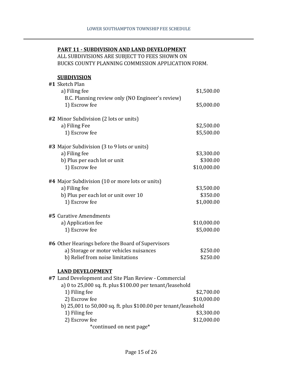#### **PART 11 - SUBDIVISION AND LAND DEVELOPMENT**

ALL SUBDIVISIONS ARE SUBJECT TO FEES SHOWN ON BUCKS COUNTY PLANNING COMMISSION APPLICATION FORM.

#### **SUBDIVISION**

| #1 Sketch Plan                                                 |             |
|----------------------------------------------------------------|-------------|
| a) Filing fee                                                  | \$1,500.00  |
| B.C. Planning review only (NO Engineer's review)               |             |
| 1) Escrow fee                                                  | \$5,000.00  |
| #2 Minor Subdivision (2 lots or units)                         |             |
| a) Filing Fee                                                  | \$2,500.00  |
| 1) Escrow fee                                                  | \$5,500.00  |
| #3 Major Subdivision (3 to 9 lots or units)                    |             |
| a) Filing fee                                                  | \$3,300.00  |
| b) Plus per each lot or unit                                   | \$300.00    |
| 1) Escrow fee                                                  | \$10,000.00 |
| #4 Major Subdivision (10 or more lots or units)                |             |
| a) Filing fee                                                  | \$3,500.00  |
| b) Plus per each lot or unit over 10                           | \$350.00    |
| 1) Escrow fee                                                  | \$1,000.00  |
| #5 Curative Amendments                                         |             |
| a) Application fee                                             | \$10,000.00 |
| 1) Escrow fee                                                  | \$5,000.00  |
| #6 Other Hearings before the Board of Supervisors              |             |
| a) Storage or motor vehicles nuisances                         | \$250.00    |
| b) Relief from noise limitations                               | \$250.00    |
| <b>LAND DEVELOPMENT</b>                                        |             |
| #7 Land Development and Site Plan Review - Commercial          |             |
| a) 0 to 25,000 sq. ft. plus \$100.00 per tenant/leasehold      |             |
| 1) Filing fee                                                  | \$2,700.00  |
| 2) Escrow fee                                                  | \$10,000.00 |
| b) 25,001 to 50,000 sq. ft. plus \$100.00 per tenant/leasehold |             |
| 1) Filing fee                                                  | \$3,300.00  |
| 2) Escrow fee                                                  | \$12,000.00 |

\*continued on next page\*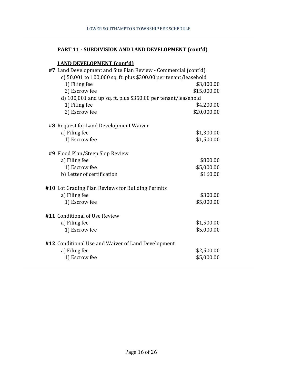#### **PART 11 - SUBDIVISION AND LAND DEVELOPMENT (cont'd)**

#### **LAND DEVELOPMENT (cont'd)**

| #7 Land Development and Site Plan Review - Commercial (cont'd)  |             |  |
|-----------------------------------------------------------------|-------------|--|
| c) 50,001 to 100,000 sq. ft. plus \$300.00 per tenant/leasehold |             |  |
| 1) Filing fee                                                   | \$3,800.00  |  |
| 2) Escrow fee                                                   | \$15,000.00 |  |
| d) 100,001 and up sq. ft. plus \$350.00 per tenant/leasehold    |             |  |
| 1) Filing fee                                                   | \$4,200.00  |  |
| 2) Escrow fee                                                   | \$20,000.00 |  |
| #8 Request for Land Development Waiver                          |             |  |
| a) Filing fee                                                   | \$1,300.00  |  |
| 1) Escrow fee                                                   | \$1,500.00  |  |
| #9 Flood Plan/Steep Slop Review                                 |             |  |
| a) Filing fee                                                   | \$800.00    |  |
| 1) Escrow fee                                                   | \$5,000.00  |  |
| b) Letter of certification                                      | \$160.00    |  |
| #10 Lot Grading Plan Reviews for Building Permits               |             |  |
| a) Filing fee                                                   | \$300.00    |  |
| 1) Escrow fee                                                   | \$5,000.00  |  |
| #11 Conditional of Use Review                                   |             |  |
| a) Filing fee                                                   | \$1,500.00  |  |
| 1) Escrow fee                                                   | \$5,000.00  |  |
| #12 Conditional Use and Waiver of Land Development              |             |  |
| a) Filing fee                                                   | \$2,500.00  |  |
| 1) Escrow fee                                                   | \$5,000.00  |  |
|                                                                 |             |  |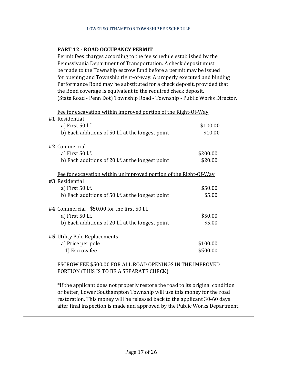#### **PART 12 - ROAD OCCUPANCY PERMIT**

Permit fees charges according to the fee schedule established by the Pennsylvania Department of Transportation. A check deposit must be made to the Township escrow fund before a permit may be issued for opening and Township right-of-way. A properly executed and binding Performance Bond may be substituted for a check deposit, provided that the Bond coverage is equivalent to the required check deposit. (State Road - Penn Dot) Township Road - Township - Public Works Director.

Fee for excavation within improved portion of the Right-Of-Way

| #1 Residential                                                   |          |
|------------------------------------------------------------------|----------|
| a) First 50 l.f.                                                 | \$100.00 |
| b) Each additions of 50 l.f. at the longest point                | \$10.00  |
| #2 Commercial                                                    |          |
| a) First 50 l.f.                                                 | \$200.00 |
| b) Each additions of 20 l.f. at the longest point                | \$20.00  |
| Fee for excavation within unimproved portion of the Right-Of-Way |          |
| #3 Residential                                                   |          |
| a) First 50 l.f.                                                 | \$50.00  |
| b) Each additions of 50 l.f. at the longest point                | \$5.00   |
| $\#4$ Commercial - \$50.00 for the first 50 l.f.                 |          |
| a) First 50 l.f.                                                 | \$50.00  |
| b) Each additions of 20 l.f. at the longest point                | \$5.00   |
| #5 Utility Pole Replacements                                     |          |
| a) Price per pole                                                | \$100.00 |
| 1) Escrow fee                                                    | \$500.00 |
|                                                                  |          |

ESCROW FEE \$500.00 FOR ALL ROAD OPENINGS IN THE IMPROVED PORTION (THIS IS TO BE A SEPARATE CHECK)

\*If the applicant does not properly restore the road to its original condition or better, Lower Southampton Township will use this money for the road restoration. This money will be released back to the applicant 30-60 days after final inspection is made and approved by the Public Works Department.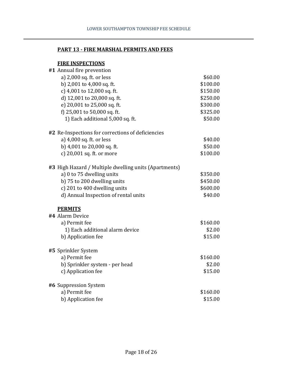#### **PART 13 - FIRE MARSHAL PERMITS AND FEES**

## **FIRE INSPECTIONS**

| #1 Annual fire prevention                             |          |
|-------------------------------------------------------|----------|
| a) 2,000 sq. ft. or less                              | \$60.00  |
| b) 2,001 to 4,000 sq. ft.                             | \$100.00 |
| c) 4,001 to 12,000 sq. ft.                            | \$150.00 |
| d) 12,001 to 20,000 sq. ft.                           | \$250.00 |
| e) 20,001 to 25,000 sq. ft.                           | \$300.00 |
| f) 25,001 to 50,000 sq. ft.                           | \$325.00 |
| 1) Each additional 5,000 sq. ft.                      | \$50.00  |
| #2 Re-Inspections for corrections of deficiencies     |          |
| a) 4,000 sq. ft. or less                              | \$40.00  |
| b) 4,001 to 20,000 sq. ft.                            | \$50.00  |
| c) 20,001 sq. ft. or more                             | \$100.00 |
| #3 High Hazard / Multiple dwelling units (Apartments) |          |
| a) 0 to 75 dwelling units                             | \$350.00 |
| b) 75 to 200 dwelling units                           | \$450.00 |
| c) 201 to 400 dwelling units                          | \$600.00 |
| d) Annual Inspection of rental units                  | \$40.00  |
| <b>PERMITS</b>                                        |          |
| #4 Alarm Device                                       |          |
| a) Permit fee                                         | \$160.00 |
| 1) Each additional alarm device                       | \$2.00   |
| b) Application fee                                    | \$15.00  |
| #5 Sprinkler System                                   |          |
| a) Permit fee                                         | \$160.00 |
| b) Sprinkler system - per head                        | \$2.00   |
| c) Application fee                                    | \$15.00  |
| #6 Suppression System                                 |          |
| a) Permit fee                                         | \$160.00 |
| b) Application fee                                    | \$15.00  |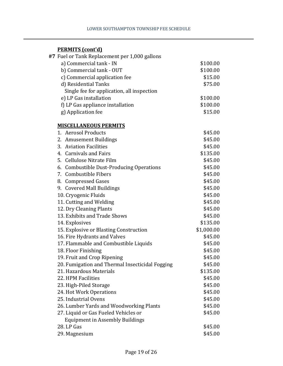## **PERMITS (cont'd)**

| $\frac{1}{2}$<br>#7 Fuel or Tank Replacement per 1,000 gallons |            |
|----------------------------------------------------------------|------------|
| a) Commercial tank - IN                                        | \$100.00   |
| b) Commercial tank - OUT                                       | \$100.00   |
| c) Commercial application fee                                  | \$15.00    |
| d) Residential Tanks                                           | \$75.00    |
| Single fee for application, all inspection                     |            |
| e) LP Gas installation                                         | \$100.00   |
| f) LP Gas appliance installation                               | \$100.00   |
| g) Application fee                                             | \$15.00    |
| <b>MISCELLANEOUS PERMITS</b>                                   |            |
| 1. Aerosol Products                                            | \$45.00    |
| 2. Amusement Buildings                                         | \$45.00    |
| 3. Aviation Facilities                                         | \$45.00    |
| 4. Carnivals and Fairs                                         | \$135.00   |
| 5. Cellulose Nitrate Film                                      | \$45.00    |
| 6. Combustible Dust-Producing Operations                       | \$45.00    |
| 7. Combustible Fibers                                          | \$45.00    |
| 8. Compressed Gases                                            | \$45.00    |
| 9. Covered Mall Buildings                                      | \$45.00    |
| 10. Cryogenic Fluids                                           | \$45.00    |
| 11. Cutting and Welding                                        | \$45.00    |
| 12. Dry Cleaning Plants                                        | \$45.00    |
| 13. Exhibits and Trade Shows                                   | \$45.00    |
| 14. Explosives                                                 | \$135.00   |
| 15. Explosive or Blasting Construction                         | \$1,000.00 |
| 16. Fire Hydrants and Valves                                   | \$45.00    |
| 17. Flammable and Combustible Liquids                          | \$45.00    |
| 18. Floor Finishing                                            | \$45.00    |
| 19. Fruit and Crop Ripening                                    | \$45.00    |
| 20. Fumigation and Thermal Insecticidal Fogging                | \$45.00    |
| 21. Hazardous Materials                                        | \$135.00   |
| 22. HPM Facilities                                             | \$45.00    |
| 23. High-Piled Storage                                         | \$45.00    |
| 24. Hot Work Operations                                        | \$45.00    |
| 25. Industrial Ovens                                           | \$45.00    |
| 26. Lumber Yards and Woodworking Plants                        | \$45.00    |
| 27. Liquid or Gas Fueled Vehicles or                           | \$45.00    |
| <b>Equipment in Assembly Buildings</b>                         |            |
| 28. LP Gas                                                     | \$45.00    |
| 29. Magnesium                                                  | \$45.00    |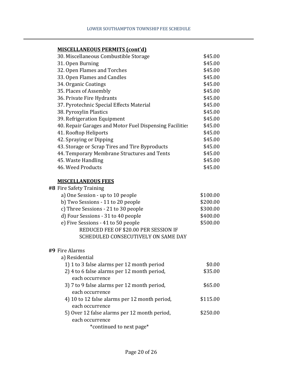## **MISCELLANEOUS PERMITS (cont'd)**

| 30. Miscellaneous Combustible Storage                   | \$45.00 |
|---------------------------------------------------------|---------|
| 31. Open Burning                                        | \$45.00 |
| 32. Open Flames and Torches                             | \$45.00 |
| 33. Open Flames and Candles                             | \$45.00 |
| 34. Organic Coatings                                    | \$45.00 |
| 35. Places of Assembly                                  | \$45.00 |
| 36. Private Fire Hydrants                               | \$45.00 |
| 37. Pyrotechnic Special Effects Material                | \$45.00 |
| 38. Pyroxylin Plastics                                  | \$45.00 |
| 39. Refrigeration Equipment                             | \$45.00 |
| 40. Repair Garages and Motor Fuel Dispensing Facilities | \$45.00 |
| 41. Rooftop Heliports                                   | \$45.00 |
| 42. Spraying or Dipping                                 | \$45.00 |
| 43. Storage or Scrap Tires and Tire Byproducts          | \$45.00 |
| 44. Temporary Membrane Structures and Tents             | \$45.00 |
| 45. Waste Handling                                      | \$45.00 |
| 46. Weed Products                                       | \$45.00 |
|                                                         |         |

#### **MISCELLANEOUS FEES**

| #8 Fire Safety Training                       |          |
|-----------------------------------------------|----------|
| a) One Session - up to 10 people              | \$100.00 |
| b) Two Sessions - 11 to 20 people             | \$200.00 |
| c) Three Sessions - 21 to 30 people           | \$300.00 |
| d) Four Sessions - 31 to 40 people            | \$400.00 |
| e) Five Sessions - 41 to 50 people            | \$500.00 |
| REDUCED FEE OF \$20.00 PER SESSION IF         |          |
| SCHEDULED CONSECUTIVELY ON SAME DAY           |          |
|                                               |          |
| #9 Fire Alarms                                |          |
| a) Residential                                |          |
| 1) 1 to 3 false alarms per 12 month period    | \$0.00   |
| 2) 4 to 6 false alarms per 12 month period,   | \$35.00  |
| each occurrence                               |          |
| 3) 7 to 9 false alarms per 12 month period,   | \$65.00  |
| each occurrence                               |          |
| 4) 10 to 12 false alarms per 12 month period, | \$115.00 |
| each occurrence                               |          |
| 5) Over 12 false alarms per 12 month period,  | \$250.00 |

each occurrence \*continued to next page\*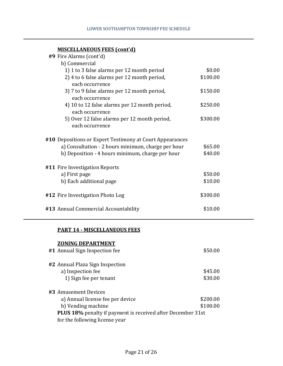| <b>MISCELLANEOUS FEES (cont'd)</b> |  |
|------------------------------------|--|
|                                    |  |

| #9 Fire Alarms (cont'd)                                          |          |  |
|------------------------------------------------------------------|----------|--|
| b) Commercial                                                    |          |  |
| 1) 1 to 3 false alarms per 12 month period                       | \$0.00   |  |
| 2) 4 to 6 false alarms per 12 month period,<br>each occurrence   | \$100.00 |  |
| 3) 7 to 9 false alarms per 12 month period,<br>each occurrence   | \$150.00 |  |
| 4) 10 to 12 false alarms per 12 month period,<br>each occurrence | \$250.00 |  |
| 5) Over 12 false alarms per 12 month period,<br>each occurrence  | \$300.00 |  |
| #10 Depositions or Expert Testimony at Court Appearances         |          |  |
| a) Consultation - 2 hours minimum, charge per hour               | \$65.00  |  |
| b) Deposition - 4 hours minimum, charge per hour                 | \$40.00  |  |
| #11 Fire Investigation Reports                                   |          |  |
| a) First page                                                    | \$50.00  |  |
| b) Each additional page                                          | \$10.00  |  |
| #12 Fire Investigation Photo Log                                 | \$300.00 |  |
| #13 Annual Commercial Accountability                             | \$10.00  |  |

## **PART 14 - MISCELLANEOUS FEES**

#### **ZONING DEPARTMENT**

| #1 Annual Sign Inspection fee                                                                        | \$50.00  |
|------------------------------------------------------------------------------------------------------|----------|
| #2 Annual Plaza Sign Inspection                                                                      |          |
| a) Inspection fee                                                                                    | \$45.00  |
| 1) Sign fee per tenant                                                                               | \$30.00  |
| #3 Amusement Devices                                                                                 |          |
| a) Annual license fee per device                                                                     | \$200.00 |
| b) Vending machine                                                                                   | \$100.00 |
| <b>PLUS 18%</b> penalty if payment is received after December 31st<br>for the following license year |          |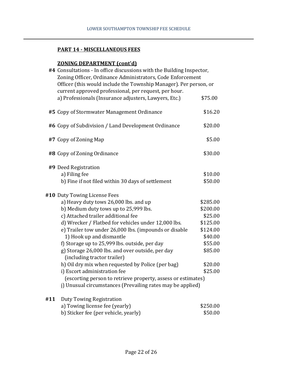#### **PART 14 - MISCELLANEOUS FEES**

#### **ZONING DEPARTMENT (cont'd)**

|     | #4 Consultations - In office discussions with the Building Inspector,<br>Zoning Officer, Ordinance Administrators, Code Enforcement<br>Officer (this would include the Township Manager). Per person, or<br>current approved professional, per request, per hour. |                    |
|-----|-------------------------------------------------------------------------------------------------------------------------------------------------------------------------------------------------------------------------------------------------------------------|--------------------|
|     | a) Professionals (Insurance adjusters, Lawyers, Etc.)                                                                                                                                                                                                             | \$75.00            |
|     | #5 Copy of Stormwater Management Ordinance                                                                                                                                                                                                                        | \$16.20            |
|     | #6 Copy of Subdivision / Land Development Ordinance                                                                                                                                                                                                               | \$20.00            |
|     | #7 Copy of Zoning Map                                                                                                                                                                                                                                             | \$5.00             |
|     | #8 Copy of Zoning Ordinance                                                                                                                                                                                                                                       | \$30.00            |
|     | #9 Deed Registration                                                                                                                                                                                                                                              |                    |
|     | a) Filing fee                                                                                                                                                                                                                                                     | \$10.00            |
|     | b) Fine if not filed within 30 days of settlement                                                                                                                                                                                                                 | \$50.00            |
|     | #10 Duty Towing License Fees                                                                                                                                                                                                                                      |                    |
|     | a) Heavy duty tows 26,000 lbs. and up                                                                                                                                                                                                                             | \$285.00           |
|     | b) Medium duty tows up to 25,999 lbs.                                                                                                                                                                                                                             | \$200.00           |
|     | c) Attached trailer additional fee                                                                                                                                                                                                                                | \$25.00            |
|     | d) Wrecker / Flatbed for vehicles under 12,000 lbs.                                                                                                                                                                                                               | \$125.00           |
|     | e) Trailer tow under 26,000 lbs. (impounds or disable                                                                                                                                                                                                             | \$124.00           |
|     | 1) Hook up and dismantle                                                                                                                                                                                                                                          | \$40.00            |
|     | f) Storage up to 25,999 lbs. outside, per day                                                                                                                                                                                                                     | \$55.00<br>\$85.00 |
|     | g) Storage 26,000 lbs. and over outside, per day<br>(including tractor trailer)                                                                                                                                                                                   |                    |
|     | h) Oil dry mix when requested by Police (per bag)                                                                                                                                                                                                                 | \$20.00            |
|     | i) Escort administration fee                                                                                                                                                                                                                                      | \$25.00            |
|     | (escorting person to retrieve property, assess or estimates)                                                                                                                                                                                                      |                    |
|     | j) Unusual circumstances (Prevailing rates may be applied)                                                                                                                                                                                                        |                    |
| #11 | <b>Duty Towing Registration</b>                                                                                                                                                                                                                                   |                    |
|     | a) Towing license fee (yearly)                                                                                                                                                                                                                                    | \$250.00           |
|     | b) Sticker fee (per vehicle, yearly)                                                                                                                                                                                                                              | \$50.00            |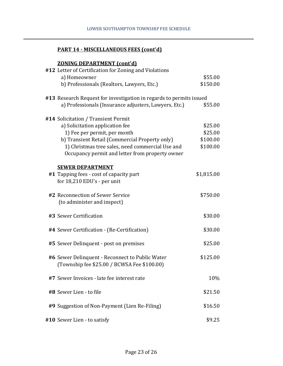## **PART 14 - MISCELLANEOUS FEES (cont'd)**

#### **ZONING DEPARTMENT (cont'd)**

| #12 Letter of Certification for Zoning and Violations               |            |
|---------------------------------------------------------------------|------------|
| a) Homeowner                                                        | \$55.00    |
| b) Professionals (Realtors, Lawyers, Etc.)                          | \$150.00   |
| #13 Research Request for investigation in regards to permits issued |            |
| a) Professionals (Insurance adjusters, Lawyers, Etc.)               | \$55.00    |
| #14 Solicitation / Transient Permit                                 |            |
| a) Solicitation application fee                                     | \$25.00    |
| 1) Fee per permit, per month                                        | \$25.00    |
| b) Transient Retail (Commercial Property only)                      | \$100.00   |
| 1) Christmas tree sales, need commercial Use and                    | \$100.00   |
| Occupancy permit and letter from property owner                     |            |
| <b>SEWER DEPARTMENT</b>                                             |            |
| #1 Tapping fees - cost of capacity part                             | \$1,815.00 |
| for 18,210 EDU's - per unit                                         |            |
| #2 Reconnection of Sewer Service                                    | \$750.00   |
| (to administer and inspect)                                         |            |
| #3 Sewer Certification                                              | \$30.00    |
| #4 Sewer Certification - (Re-Certification)                         | \$30.00    |
| #5 Sewer Delinquent - post on premises                              | \$25.00    |
| #6 Sewer Delinquent - Reconnect to Public Water                     | \$125.00   |
| (Township fee \$25.00 / BCWSA Fee \$100.00)                         |            |
| #7 Sewer Invoices - late fee interest rate                          | 10%        |
| #8 Sewer Lien - to file                                             | \$21.50    |
| #9 Suggestion of Non-Payment (Lien Re-Filing)                       | \$16.50    |
| #10 Sewer Lien - to satisfy                                         | \$9.25     |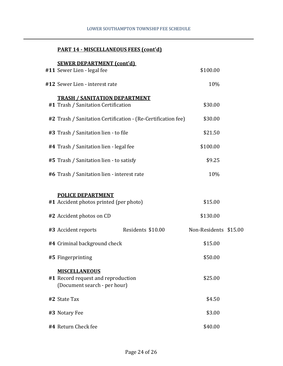#### LOWER SOUTHAMPTON TOWNSHIP FEE SCHEDULE

## **PART 14 - MISCELLANEOUS FEES (cont'd)**

## **SEWER DEPARTMENT (cont'd)**

| #11 Sewer Lien - legal fee                                                                     | \$100.00              |  |
|------------------------------------------------------------------------------------------------|-----------------------|--|
| #12 Sewer Lien - interest rate                                                                 | 10%                   |  |
| <b>TRASH / SANITATION DEPARTMENT</b><br>#1 Trash / Sanitation Certification                    | \$30.00               |  |
| #2 Trash / Sanitation Certification - (Re-Certification fee)                                   | \$30.00               |  |
| #3 Trash / Sanitation lien - to file                                                           | \$21.50               |  |
| #4 Trash / Sanitation lien - legal fee                                                         | \$100.00              |  |
| #5 Trash / Sanitation lien - to satisfy                                                        | \$9.25                |  |
| #6 Trash / Sanitation lien - interest rate                                                     | 10%                   |  |
| <b>POLICE DEPARTMENT</b><br>#1 Accident photos printed (per photo)<br>#2 Accident photos on CD | \$15.00<br>\$130.00   |  |
| Residents \$10.00<br>#3 Accident reports                                                       | Non-Residents \$15.00 |  |
| #4 Criminal background check                                                                   | \$15.00               |  |
| #5 Fingerprinting                                                                              | \$50.00               |  |
| <b>MISCELLANEOUS</b><br>#1 Record request and reproduction<br>(Document search - per hour)     | \$25.00               |  |
| #2 State Tax                                                                                   | \$4.50                |  |
| #3 Notary Fee                                                                                  | \$3.00                |  |
| #4 Return Check fee                                                                            | \$40.00               |  |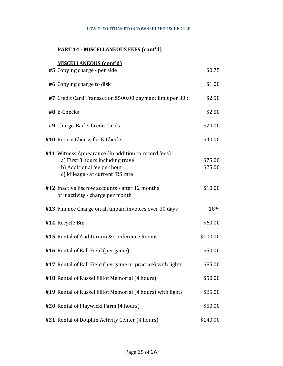## **PART 14 - MISCELLANEOUS FEES (cont'd)**

## **MISCELLANEOUS (cont'd)**

| #5 Copying charge - per side                                                                                                                               | \$0.75             |
|------------------------------------------------------------------------------------------------------------------------------------------------------------|--------------------|
| #6 Copying charge to disk                                                                                                                                  | \$1.00             |
| #7 Credit Card Transaction \$500.00 payment limit per 30 o                                                                                                 | \$2.50             |
| #8 E-Checks                                                                                                                                                | \$2.50             |
| #9 Charge-Backs Credit Cards                                                                                                                               | \$20.00            |
| #10 Return Checks for E-Checks                                                                                                                             | \$40.00            |
| #11 Witness Appearance (In addition to record fees)<br>a) First 3 hours including travel<br>b) Additional fee per hour<br>c) Mileage - at current IRS rate | \$75.00<br>\$25.00 |
| #12 Inactive Escrow accounts - after 12 months<br>of inactivity - charge per month                                                                         | \$10.00            |
| #13 Finance Charge on all unpaid invoices over 30 days                                                                                                     | 18%                |
| #14 Recycle Bin                                                                                                                                            | \$60.00            |
| #15 Rental of Auditorium & Conference Rooms                                                                                                                | \$100.00           |
| #16 Rental of Ball Field (per game)                                                                                                                        | \$50.00            |
| #17 Rental of Ball Field (per game or practice) with lights                                                                                                | \$85.00            |
| #18 Rental of Russel Elliot Memorial (4 hours)                                                                                                             | \$50.00            |
| #19 Rental of Russel Elliot Memorial (4 hours) with lights                                                                                                 | \$85.00            |
| #20 Rental of Playwicki Farm (4 hours)                                                                                                                     | \$50.00            |
| #21 Rental of Dolphin Activity Center (4 hours)                                                                                                            | \$140.00           |